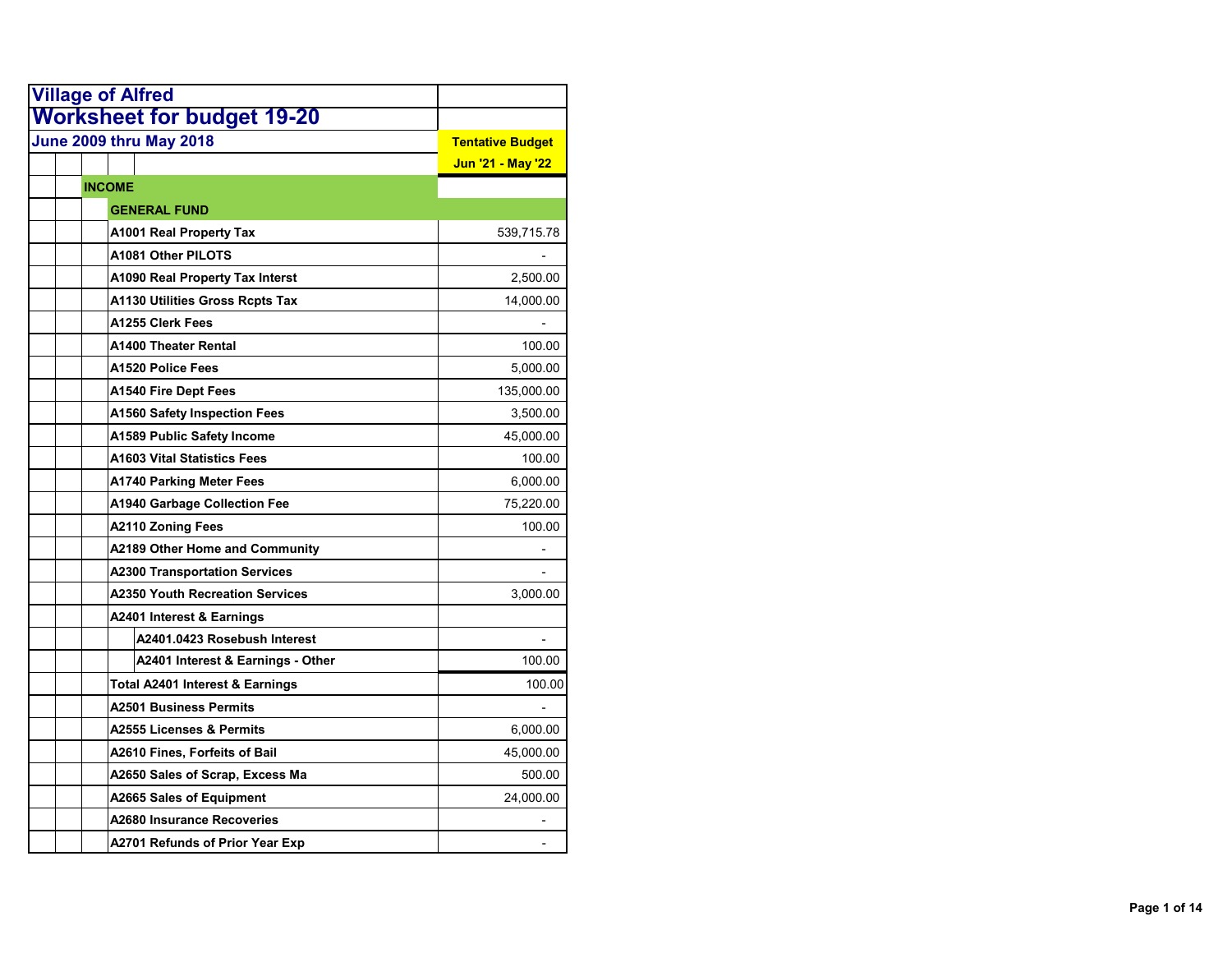| <b>Village of Alfred</b>                   |                         |
|--------------------------------------------|-------------------------|
| <b>Worksheet for budget 19-20</b>          |                         |
| June 2009 thru May 2018                    | <b>Tentative Budget</b> |
|                                            | Jun '21 - May '22       |
| <b>INCOME</b>                              |                         |
| <b>GENERAL FUND</b>                        |                         |
| <b>A1001 Real Property Tax</b>             | 539,715.78              |
| A1081 Other PILOTS                         |                         |
| <b>A1090 Real Property Tax Interst</b>     | 2,500.00                |
| A1130 Utilities Gross Rcpts Tax            | 14,000.00               |
| A1255 Clerk Fees                           |                         |
| <b>A1400 Theater Rental</b>                | 100.00                  |
| A1520 Police Fees                          | 5,000.00                |
| <b>A1540 Fire Dept Fees</b>                | 135,000.00              |
| <b>A1560 Safety Inspection Fees</b>        | 3,500.00                |
| A1589 Public Safety Income                 | 45,000.00               |
| <b>A1603 Vital Statistics Fees</b>         | 100.00                  |
| <b>A1740 Parking Meter Fees</b>            | 6,000.00                |
| <b>A1940 Garbage Collection Fee</b>        | 75,220.00               |
| <b>A2110 Zoning Fees</b>                   | 100.00                  |
| <b>A2189 Other Home and Community</b>      |                         |
| <b>A2300 Transportation Services</b>       |                         |
| <b>A2350 Youth Recreation Services</b>     | 3,000.00                |
| A2401 Interest & Earnings                  |                         |
| A2401.0423 Rosebush Interest               |                         |
| A2401 Interest & Earnings - Other          | 100.00                  |
| <b>Total A2401 Interest &amp; Earnings</b> | 100.00                  |
| <b>A2501 Business Permits</b>              |                         |
| A2555 Licenses & Permits                   | 6,000.00                |
| A2610 Fines, Forfeits of Bail              | 45,000.00               |
| A2650 Sales of Scrap, Excess Ma            | 500.00                  |
| <b>A2665 Sales of Equipment</b>            | 24,000.00               |
| A2680 Insurance Recoveries                 |                         |
| A2701 Refunds of Prior Year Exp            |                         |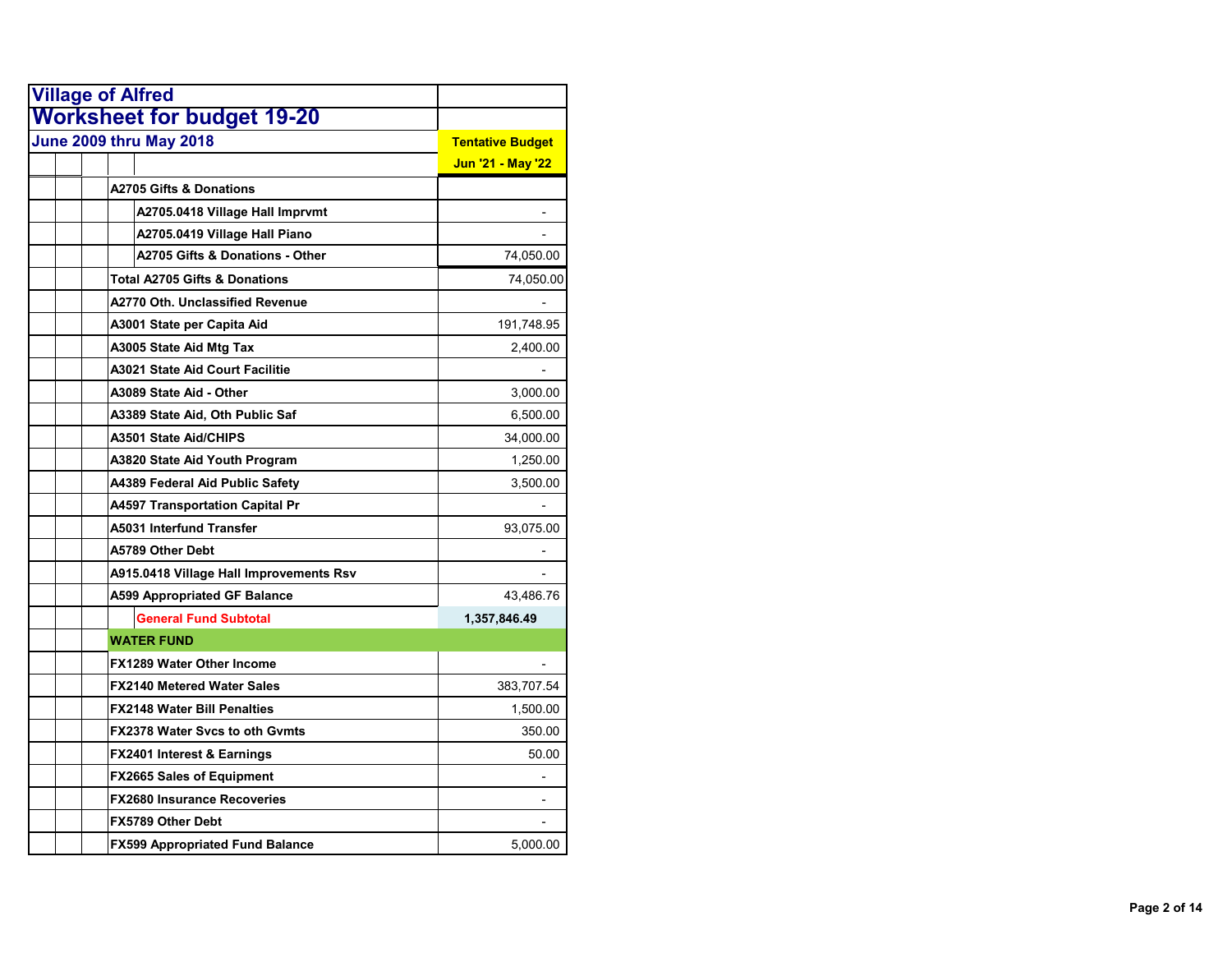| <b>Village of Alfred</b>                 |                         |
|------------------------------------------|-------------------------|
| <b>Worksheet for budget 19-20</b>        |                         |
| <b>June 2009 thru May 2018</b>           | <b>Tentative Budget</b> |
|                                          | Jun '21 - May '22       |
| <b>A2705 Gifts &amp; Donations</b>       |                         |
| A2705.0418 Village Hall Imprvmt          |                         |
| A2705.0419 Village Hall Piano            |                         |
| A2705 Gifts & Donations - Other          | 74,050.00               |
| <b>Total A2705 Gifts &amp; Donations</b> | 74,050.00               |
| A2770 Oth. Unclassified Revenue          |                         |
| A3001 State per Capita Aid               | 191,748.95              |
| A3005 State Aid Mtg Tax                  | 2,400.00                |
| A3021 State Aid Court Facilitie          |                         |
| A3089 State Aid - Other                  | 3,000.00                |
| A3389 State Aid, Oth Public Saf          | 6,500.00                |
| A3501 State Aid/CHIPS                    | 34,000.00               |
| A3820 State Aid Youth Program            | 1,250.00                |
| A4389 Federal Aid Public Safety          | 3,500.00                |
| <b>A4597 Transportation Capital Pr</b>   |                         |
| A5031 Interfund Transfer                 | 93,075.00               |
| A5789 Other Debt                         |                         |
| A915.0418 Village Hall Improvements Rsv  |                         |
| <b>A599 Appropriated GF Balance</b>      | 43,486.76               |
| <b>General Fund Subtotal</b>             | 1,357,846.49            |
| <b>WATER FUND</b>                        |                         |
| <b>FX1289 Water Other Income</b>         |                         |
| <b>FX2140 Metered Water Sales</b>        | 383,707.54              |
| <b>FX2148 Water Bill Penalties</b>       | 1,500.00                |
| <b>FX2378 Water Svcs to oth Gymts</b>    | 350.00                  |
| <b>FX2401 Interest &amp; Earnings</b>    | 50.00                   |
| FX2665 Sales of Equipment                |                         |
| <b>FX2680 Insurance Recoveries</b>       |                         |
| FX5789 Other Debt                        |                         |
| <b>FX599 Appropriated Fund Balance</b>   | 5,000.00                |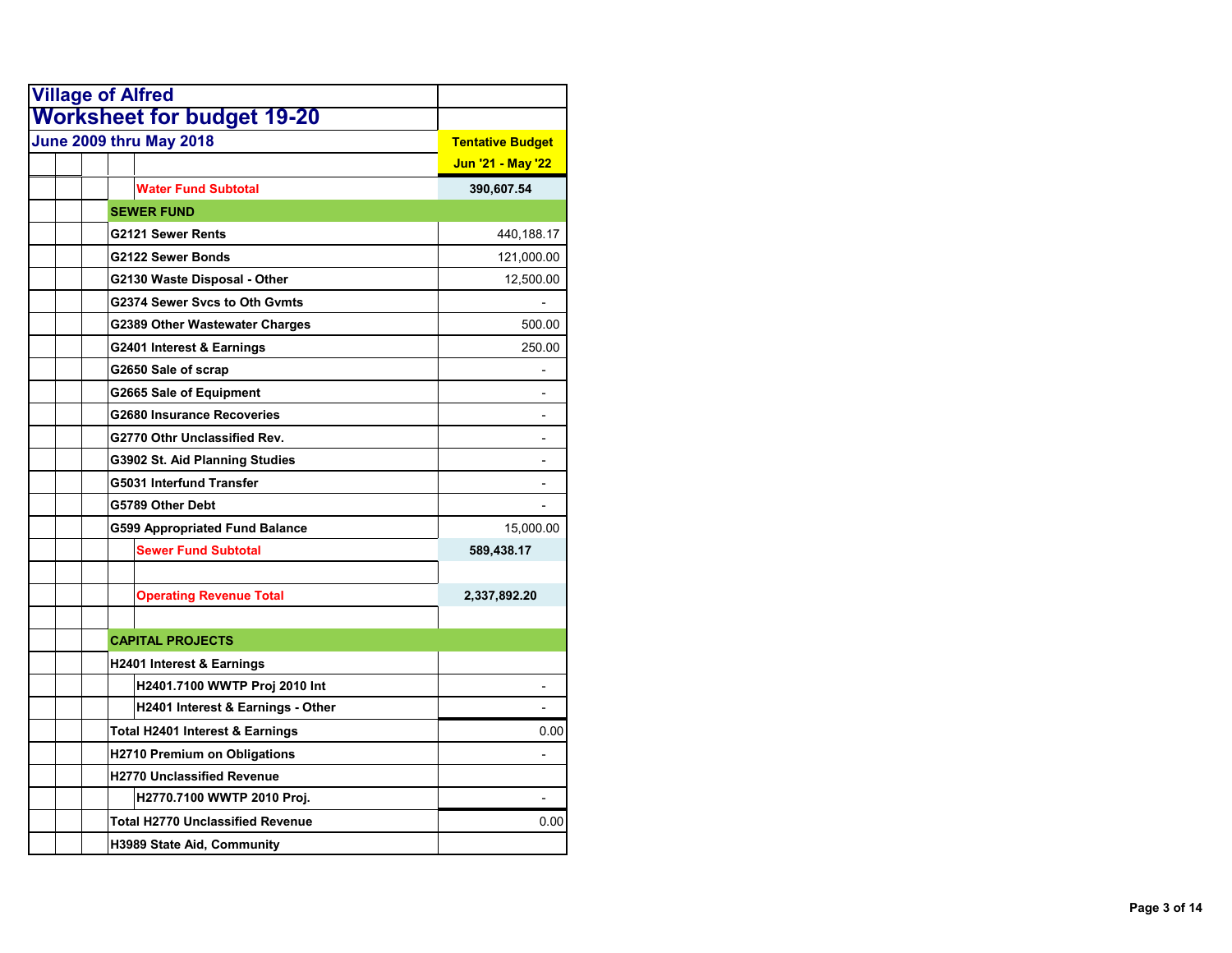| <b>Village of Alfred</b>             |                          |
|--------------------------------------|--------------------------|
| <b>Worksheet for budget 19-20</b>    |                          |
| <b>June 2009 thru May 2018</b>       | <b>Tentative Budget</b>  |
|                                      | Jun '21 - May '22        |
| <b>Water Fund Subtotal</b>           | 390,607.54               |
| <b>SEWER FUND</b>                    |                          |
| G2121 Sewer Rents                    | 440,188.17               |
| G2122 Sewer Bonds                    | 121,000.00               |
| G2130 Waste Disposal - Other         | 12,500.00                |
| G2374 Sewer Svcs to Oth Gymts        |                          |
| G2389 Other Wastewater Charges       | 500.00                   |
| G2401 Interest & Earnings            | 250.00                   |
| G2650 Sale of scrap                  |                          |
| G2665 Sale of Equipment              |                          |
| <b>G2680 Insurance Recoveries</b>    |                          |
| G2770 Othr Unclassified Rev.         |                          |
| G3902 St. Aid Planning Studies       |                          |
| G5031 Interfund Transfer             |                          |
| G5789 Other Debt                     |                          |
| G599 Appropriated Fund Balance       | 15,000.00                |
| <b>Sewer Fund Subtotal</b>           | 589,438.17               |
| <b>Operating Revenue Total</b>       | 2,337,892.20             |
| <b>CAPITAL PROJECTS</b>              |                          |
| <b>H2401 Interest &amp; Earnings</b> |                          |
| H2401.7100 WWTP Proj 2010 Int        | $\overline{\phantom{a}}$ |
| H2401 Interest & Earnings - Other    |                          |
| Total H2401 Interest & Earnings      | 0.00                     |
| <b>H2710 Premium on Obligations</b>  |                          |
| <b>H2770 Unclassified Revenue</b>    |                          |
| H2770.7100 WWTP 2010 Proj.           |                          |
| Total H2770 Unclassified Revenue     | 0.00                     |
| H3989 State Aid, Community           |                          |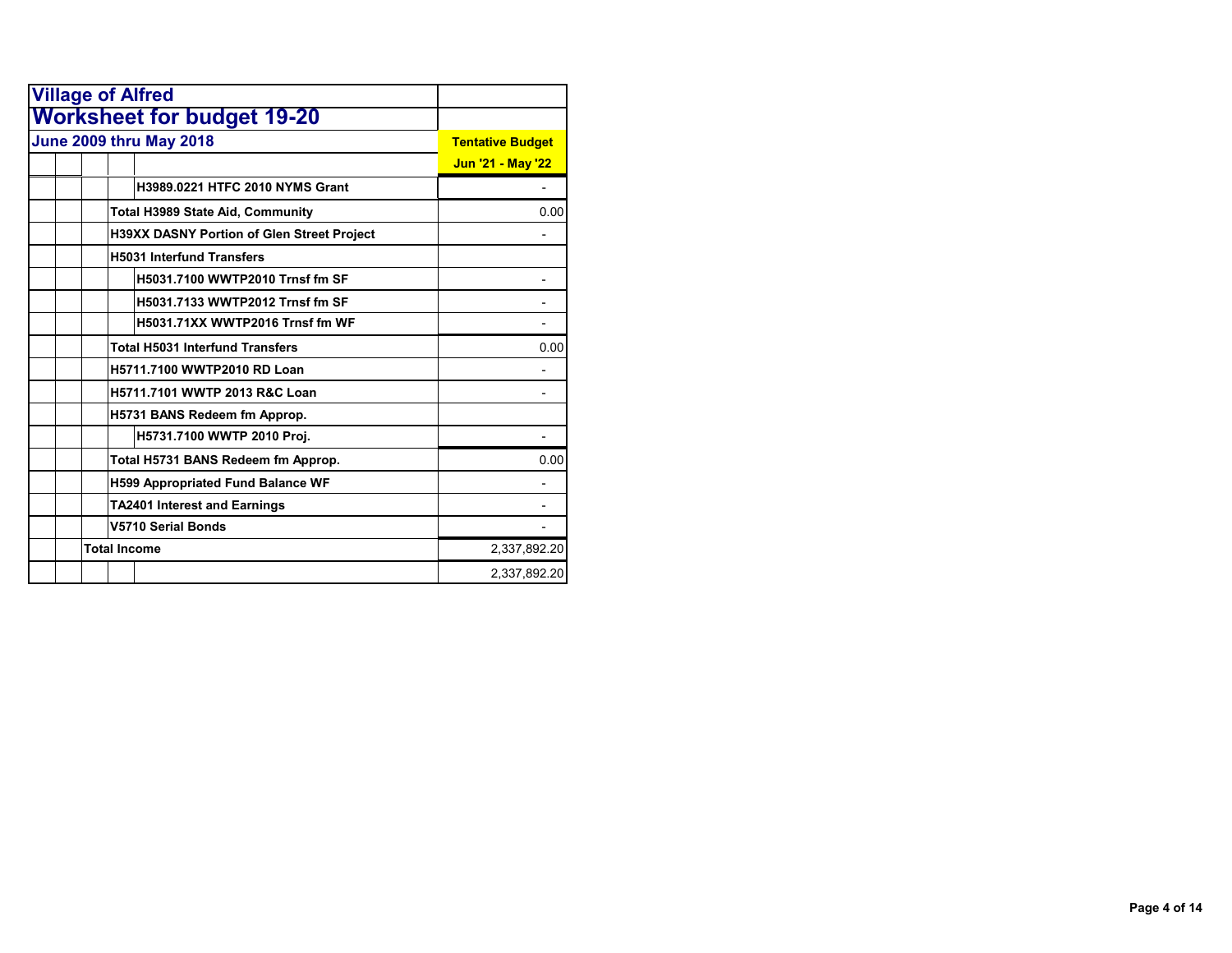| <b>Village of Alfred</b>                          |                          |
|---------------------------------------------------|--------------------------|
| <b>Worksheet for budget 19-20</b>                 |                          |
| <b>June 2009 thru May 2018</b>                    | <b>Tentative Budget</b>  |
|                                                   | <b>Jun '21 - May '22</b> |
| H3989.0221 HTFC 2010 NYMS Grant                   |                          |
| Total H3989 State Aid, Community                  | 0.00                     |
| <b>H39XX DASNY Portion of Glen Street Project</b> |                          |
| <b>H5031 Interfund Transfers</b>                  |                          |
| H5031.7100 WWTP2010 Trnsf fm SF                   |                          |
| H5031.7133 WWTP2012 Trnsf fm SF                   |                          |
| H5031.71XX WWTP2016 Trnsf fm WF                   |                          |
| <b>Total H5031 Interfund Transfers</b>            | 0.00                     |
| H5711.7100 WWTP2010 RD Loan                       |                          |
| H5711.7101 WWTP 2013 R&C Loan                     |                          |
| H5731 BANS Redeem fm Approp.                      |                          |
| H5731.7100 WWTP 2010 Proj.                        |                          |
| Total H5731 BANS Redeem fm Approp.                | 0.00                     |
| <b>H599 Appropriated Fund Balance WF</b>          |                          |
| <b>TA2401 Interest and Earnings</b>               |                          |
| <b>V5710 Serial Bonds</b>                         |                          |
| <b>Total Income</b>                               | 2,337,892.20             |
|                                                   | 2,337,892.20             |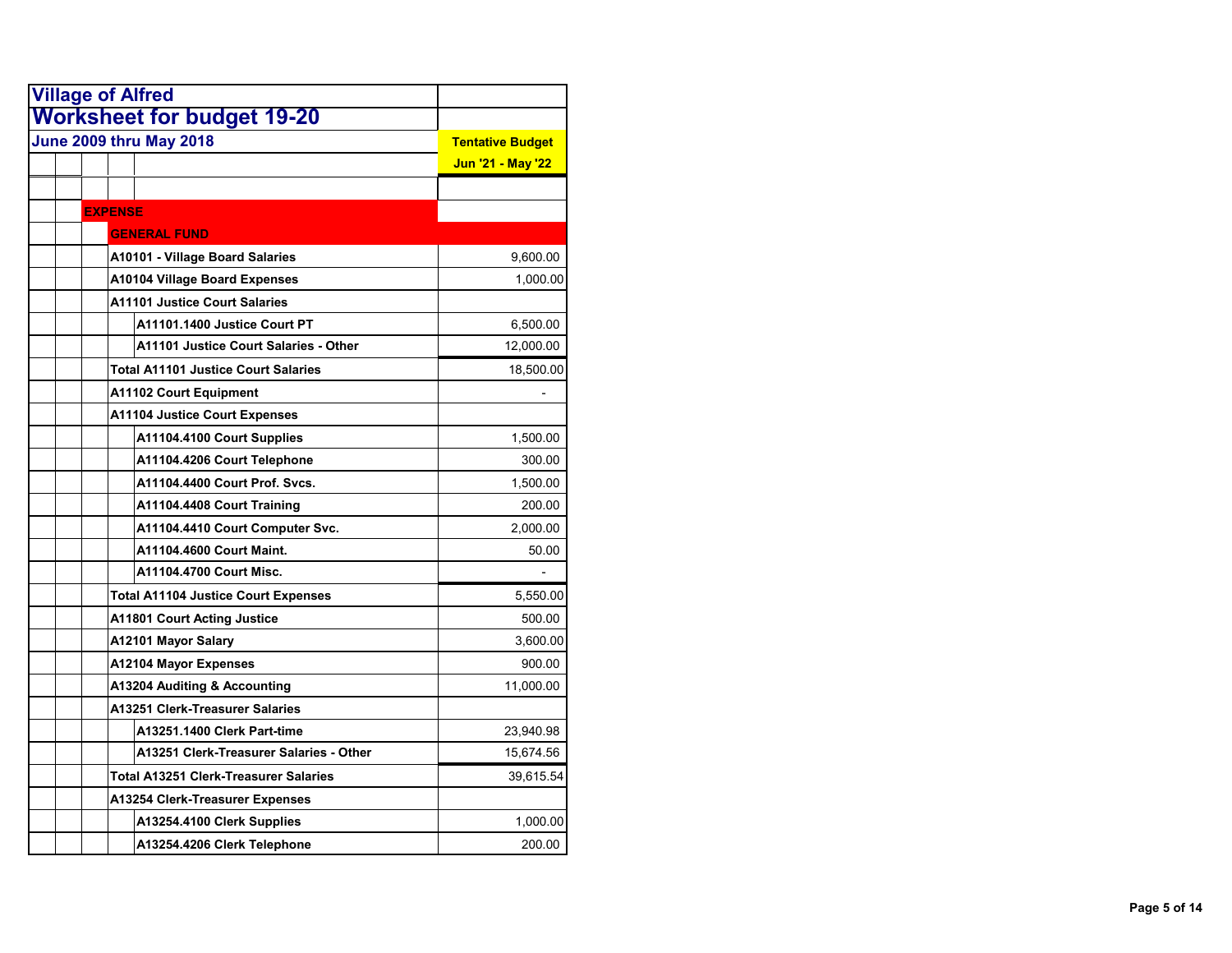| <b>Village of Alfred</b> |                                              |                   |
|--------------------------|----------------------------------------------|-------------------|
|                          | <b>Worksheet for budget 19-20</b>            |                   |
|                          | <b>June 2009 thru May 2018</b>               |                   |
|                          |                                              | Jun '21 - May '22 |
|                          |                                              |                   |
| <b>EXPENSE</b>           |                                              |                   |
|                          | <b>GENERAL FUND</b>                          |                   |
|                          | A10101 - Village Board Salaries              | 9,600.00          |
|                          | <b>A10104 Village Board Expenses</b>         | 1,000.00          |
|                          | <b>A11101 Justice Court Salaries</b>         |                   |
|                          | A11101.1400 Justice Court PT                 | 6,500.00          |
|                          | A11101 Justice Court Salaries - Other        | 12,000.00         |
|                          | <b>Total A11101 Justice Court Salaries</b>   | 18,500.00         |
|                          | <b>A11102 Court Equipment</b>                |                   |
|                          | <b>A11104 Justice Court Expenses</b>         |                   |
|                          | A11104.4100 Court Supplies                   | 1,500.00          |
|                          | A11104.4206 Court Telephone                  | 300.00            |
|                          | A11104.4400 Court Prof. Svcs.                | 1,500.00          |
|                          | A11104.4408 Court Training                   | 200.00            |
|                          | A11104.4410 Court Computer Svc.              | 2,000.00          |
|                          | A11104.4600 Court Maint.                     | 50.00             |
|                          | A11104.4700 Court Misc.                      |                   |
|                          | <b>Total A11104 Justice Court Expenses</b>   | 5,550.00          |
|                          | <b>A11801 Court Acting Justice</b>           | 500.00            |
|                          | A12101 Mayor Salary                          | 3,600.00          |
|                          | <b>A12104 Mayor Expenses</b>                 | 900.00            |
|                          | A13204 Auditing & Accounting                 | 11,000.00         |
|                          | A13251 Clerk-Treasurer Salaries              |                   |
|                          | A13251.1400 Clerk Part-time                  | 23,940.98         |
|                          | A13251 Clerk-Treasurer Salaries - Other      | 15,674.56         |
|                          | <b>Total A13251 Clerk-Treasurer Salaries</b> | 39,615.54         |
|                          | A13254 Clerk-Treasurer Expenses              |                   |
|                          | A13254.4100 Clerk Supplies                   | 1,000.00          |
|                          | A13254.4206 Clerk Telephone                  | 200.00            |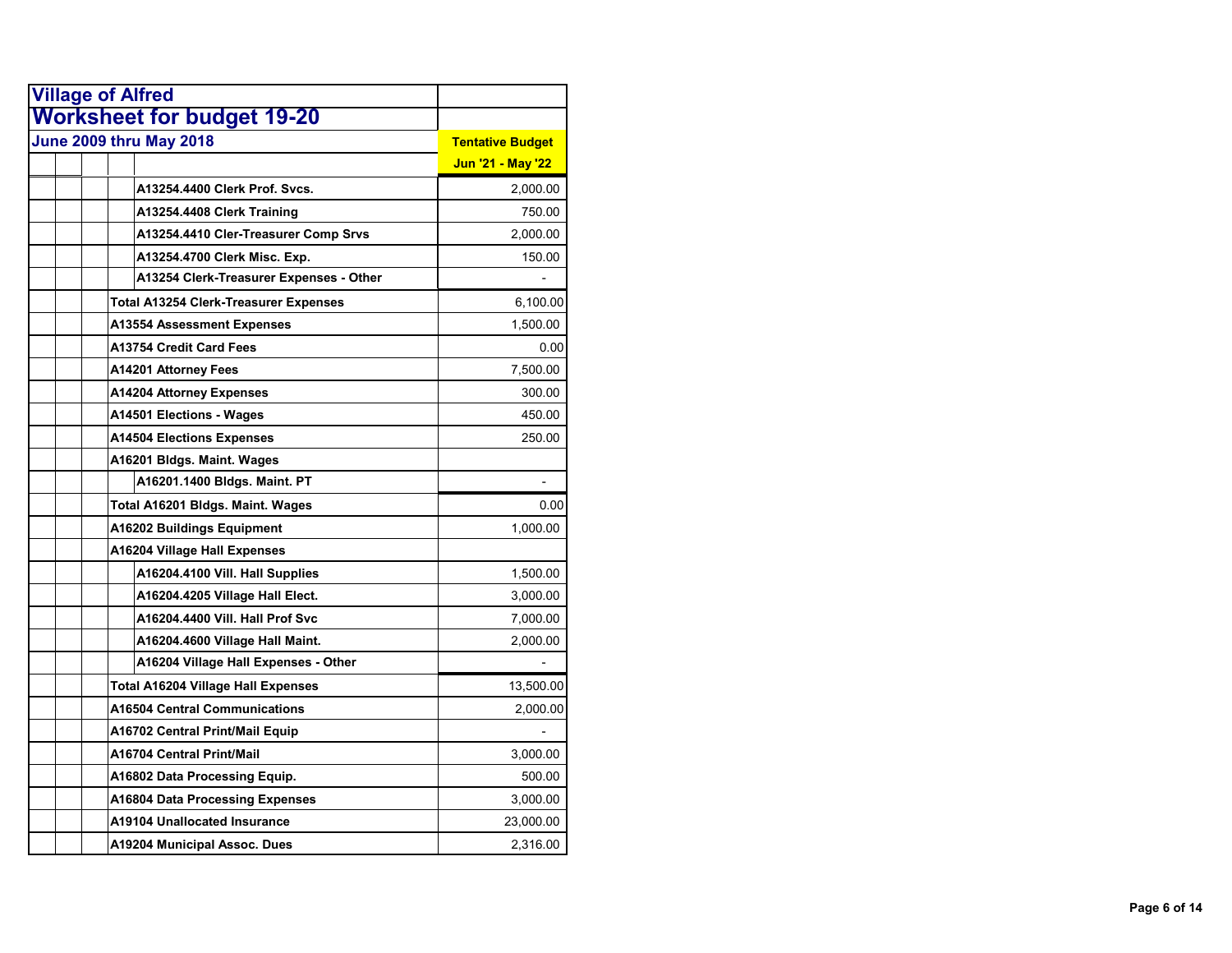| <b>Village of Alfred</b>                |                         |
|-----------------------------------------|-------------------------|
| <b>Worksheet for budget 19-20</b>       |                         |
| <b>June 2009 thru May 2018</b>          | <b>Tentative Budget</b> |
|                                         | Jun '21 - May '22       |
| A13254.4400 Clerk Prof. Svcs.           | 2,000.00                |
| A13254.4408 Clerk Training              | 750.00                  |
| A13254.4410 Cler-Treasurer Comp Srvs    | 2,000.00                |
| A13254.4700 Clerk Misc. Exp.            | 150.00                  |
| A13254 Clerk-Treasurer Expenses - Other |                         |
| Total A13254 Clerk-Treasurer Expenses   | 6,100.00                |
| A13554 Assessment Expenses              | 1,500.00                |
| A13754 Credit Card Fees                 | 0.00                    |
| A14201 Attorney Fees                    | 7,500.00                |
| <b>A14204 Attorney Expenses</b>         | 300.00                  |
| A14501 Elections - Wages                | 450.00                  |
| <b>A14504 Elections Expenses</b>        | 250.00                  |
| A16201 Bldgs. Maint. Wages              |                         |
| A16201.1400 Bldgs. Maint. PT            |                         |
| Total A16201 Bldgs. Maint. Wages        | 0.00                    |
| <b>A16202 Buildings Equipment</b>       | 1,000.00                |
| A16204 Village Hall Expenses            |                         |
| A16204.4100 Vill. Hall Supplies         | 1,500.00                |
| A16204.4205 Village Hall Elect.         | 3,000.00                |
| A16204.4400 Vill. Hall Prof Svc         | 7,000.00                |
| A16204.4600 Village Hall Maint.         | 2,000.00                |
| A16204 Village Hall Expenses - Other    |                         |
| Total A16204 Village Hall Expenses      | 13,500.00               |
| <b>A16504 Central Communications</b>    | 2,000.00                |
| A16702 Central Print/Mail Equip         |                         |
| A16704 Central Print/Mail               | 3,000.00                |
| A16802 Data Processing Equip.           | 500.00                  |
| A16804 Data Processing Expenses         | 3,000.00                |
| A19104 Unallocated Insurance            | 23,000.00               |
| A19204 Municipal Assoc. Dues            | 2,316.00                |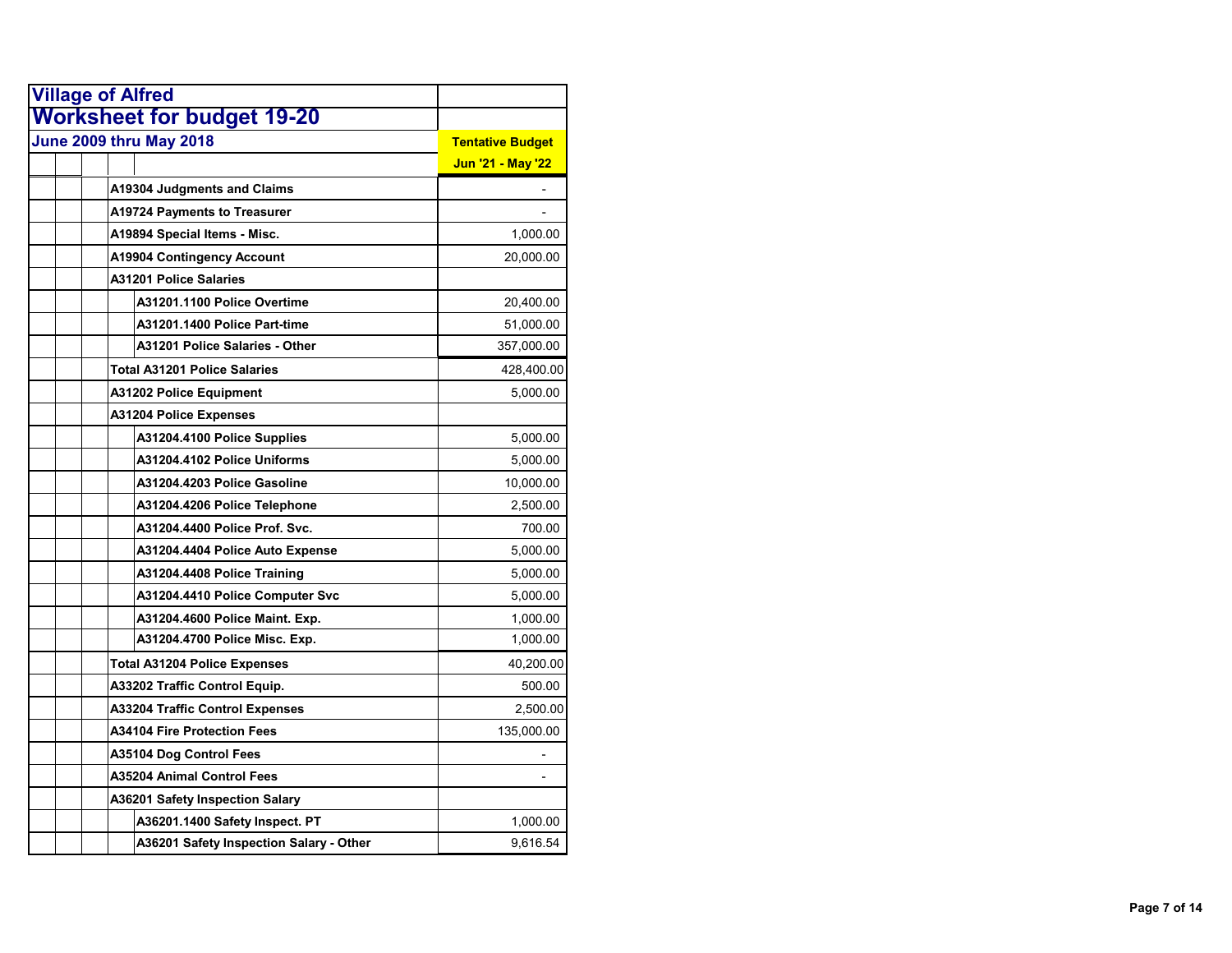| <b>Village of Alfred</b>                |                         |
|-----------------------------------------|-------------------------|
| <b>Worksheet for budget 19-20</b>       |                         |
| June 2009 thru May 2018                 | <b>Tentative Budget</b> |
|                                         | Jun '21 - May '22       |
| <b>A19304 Judgments and Claims</b>      |                         |
| <b>A19724 Payments to Treasurer</b>     |                         |
| A19894 Special Items - Misc.            | 1,000.00                |
| <b>A19904 Contingency Account</b>       | 20,000.00               |
| <b>A31201 Police Salaries</b>           |                         |
| A31201.1100 Police Overtime             | 20,400.00               |
| A31201.1400 Police Part-time            | 51,000.00               |
| A31201 Police Salaries - Other          | 357,000.00              |
| Total A31201 Police Salaries            | 428,400.00              |
| A31202 Police Equipment                 | 5,000.00                |
| <b>A31204 Police Expenses</b>           |                         |
| A31204.4100 Police Supplies             | 5,000.00                |
| A31204.4102 Police Uniforms             | 5,000.00                |
| A31204.4203 Police Gasoline             | 10,000.00               |
| A31204.4206 Police Telephone            | 2,500.00                |
| A31204.4400 Police Prof. Svc.           | 700.00                  |
| A31204.4404 Police Auto Expense         | 5,000.00                |
| A31204.4408 Police Training             | 5,000.00                |
| A31204.4410 Police Computer Svc         | 5,000.00                |
| A31204.4600 Police Maint. Exp.          | 1,000.00                |
| A31204.4700 Police Misc. Exp.           | 1,000.00                |
| <b>Total A31204 Police Expenses</b>     | 40,200.00               |
| A33202 Traffic Control Equip.           | 500.00                  |
| A33204 Traffic Control Expenses         | 2,500.00                |
| <b>A34104 Fire Protection Fees</b>      | 135,000.00              |
| A35104 Dog Control Fees                 |                         |
| A35204 Animal Control Fees              |                         |
| A36201 Safety Inspection Salary         |                         |
| A36201.1400 Safety Inspect. PT          | 1,000.00                |
| A36201 Safety Inspection Salary - Other | 9,616.54                |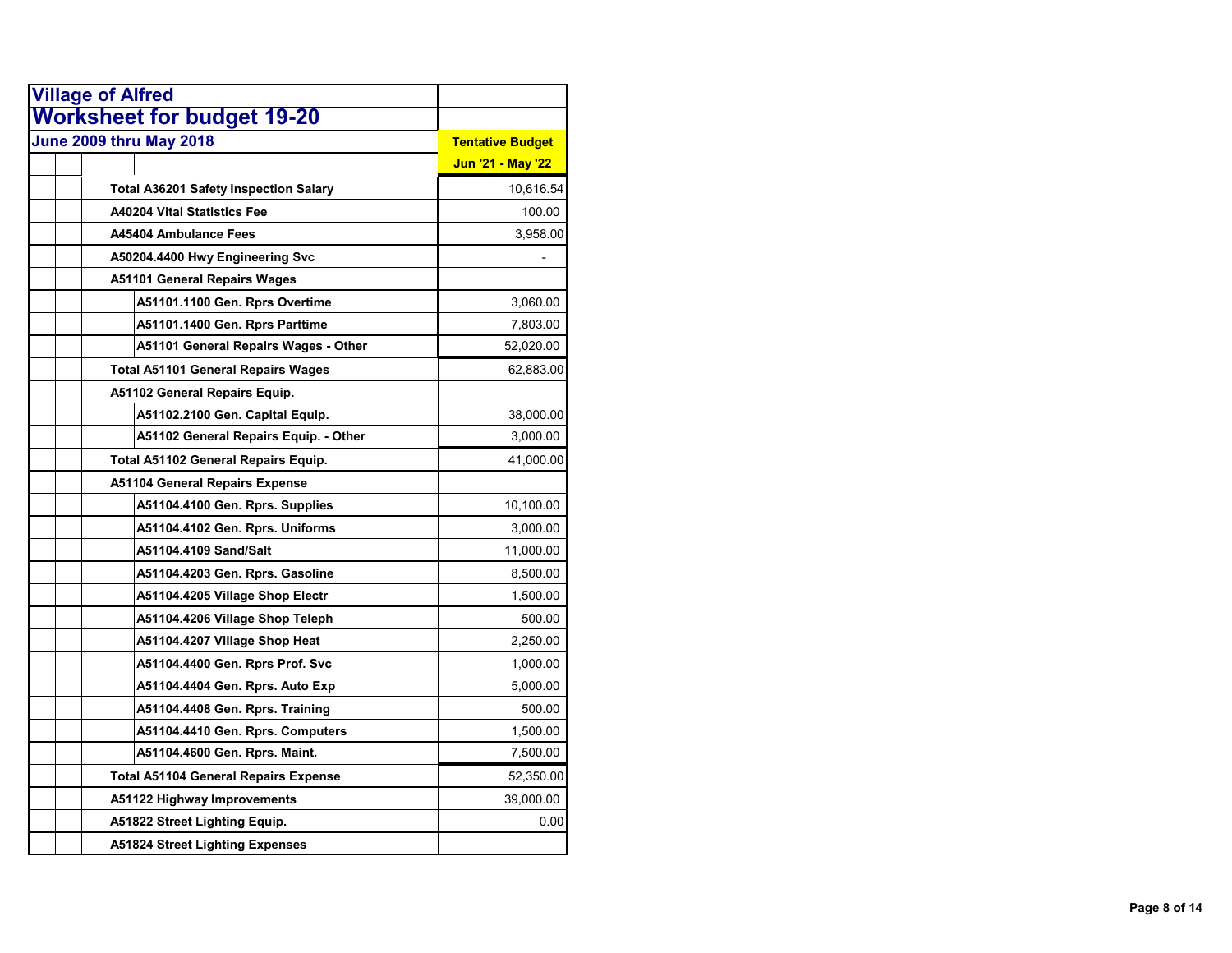|                         | <b>Village of Alfred</b>                     |                         |
|-------------------------|----------------------------------------------|-------------------------|
|                         | <b>Worksheet for budget 19-20</b>            |                         |
| June 2009 thru May 2018 |                                              | <b>Tentative Budget</b> |
|                         |                                              | Jun '21 - May '22       |
|                         | <b>Total A36201 Safety Inspection Salary</b> | 10,616.54               |
|                         | <b>A40204 Vital Statistics Fee</b>           | 100.00                  |
|                         | A45404 Ambulance Fees                        | 3,958.00                |
|                         | A50204.4400 Hwy Engineering Svc              |                         |
|                         | <b>A51101 General Repairs Wages</b>          |                         |
|                         | A51101.1100 Gen. Rprs Overtime               | 3,060.00                |
|                         | A51101.1400 Gen. Rprs Parttime               | 7,803.00                |
|                         | A51101 General Repairs Wages - Other         | 52,020.00               |
|                         | <b>Total A51101 General Repairs Wages</b>    | 62,883.00               |
|                         | A51102 General Repairs Equip.                |                         |
|                         | A51102.2100 Gen. Capital Equip.              | 38,000.00               |
|                         | A51102 General Repairs Equip. - Other        | 3,000.00                |
|                         | Total A51102 General Repairs Equip.          | 41,000.00               |
|                         | <b>A51104 General Repairs Expense</b>        |                         |
|                         | A51104.4100 Gen. Rprs. Supplies              | 10,100.00               |
|                         | A51104.4102 Gen. Rprs. Uniforms              | 3,000.00                |
|                         | A51104.4109 Sand/Salt                        | 11,000.00               |
|                         | A51104.4203 Gen. Rprs. Gasoline              | 8,500.00                |
|                         | A51104.4205 Village Shop Electr              | 1,500.00                |
|                         | A51104.4206 Village Shop Teleph              | 500.00                  |
|                         | A51104.4207 Village Shop Heat                | 2,250.00                |
|                         | A51104.4400 Gen. Rprs Prof. Svc              | 1,000.00                |
|                         | A51104.4404 Gen. Rprs. Auto Exp              | 5,000.00                |
|                         | A51104.4408 Gen. Rprs. Training              | 500.00                  |
|                         | A51104.4410 Gen. Rprs. Computers             | 1,500.00                |
|                         | A51104.4600 Gen. Rprs. Maint.                | 7,500.00                |
|                         | <b>Total A51104 General Repairs Expense</b>  | 52,350.00               |
|                         | A51122 Highway Improvements                  | 39,000.00               |
|                         | A51822 Street Lighting Equip.                | 0.00                    |
|                         | A51824 Street Lighting Expenses              |                         |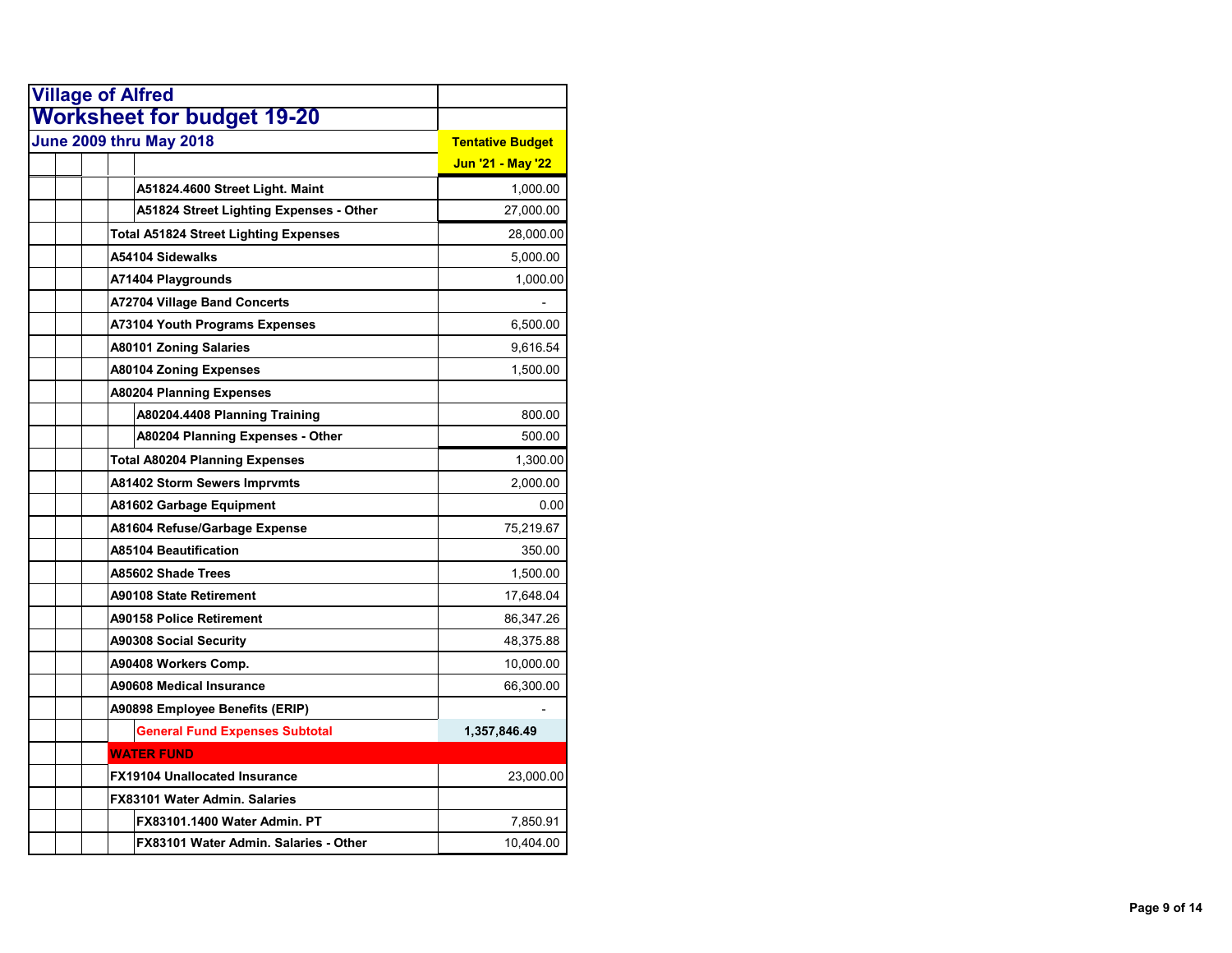| <b>Village of Alfred</b>                     |                         |
|----------------------------------------------|-------------------------|
| <b>Worksheet for budget 19-20</b>            |                         |
| <b>June 2009 thru May 2018</b>               | <b>Tentative Budget</b> |
|                                              | Jun '21 - May '22       |
| A51824.4600 Street Light. Maint              | 1,000.00                |
| A51824 Street Lighting Expenses - Other      | 27,000.00               |
| <b>Total A51824 Street Lighting Expenses</b> | 28,000.00               |
| A54104 Sidewalks                             | 5,000.00                |
| A71404 Playgrounds                           | 1,000.00                |
| <b>A72704 Village Band Concerts</b>          |                         |
| <b>A73104 Youth Programs Expenses</b>        | 6,500.00                |
| <b>A80101 Zoning Salaries</b>                | 9,616.54                |
| <b>A80104 Zoning Expenses</b>                | 1,500.00                |
| <b>A80204 Planning Expenses</b>              |                         |
| A80204.4408 Planning Training                | 800.00                  |
| A80204 Planning Expenses - Other             | 500.00                  |
| <b>Total A80204 Planning Expenses</b>        | 1,300.00                |
| <b>A81402 Storm Sewers Imprvmts</b>          | 2,000.00                |
| A81602 Garbage Equipment                     | 0.00                    |
| A81604 Refuse/Garbage Expense                | 75,219.67               |
| <b>A85104 Beautification</b>                 | 350.00                  |
| A85602 Shade Trees                           | 1,500.00                |
| A90108 State Retirement                      | 17,648.04               |
| A90158 Police Retirement                     | 86,347.26               |
| <b>A90308 Social Security</b>                | 48,375.88               |
| A90408 Workers Comp.                         | 10,000.00               |
| A90608 Medical Insurance                     | 66,300.00               |
| A90898 Employee Benefits (ERIP)              |                         |
| <b>General Fund Expenses Subtotal</b>        | 1,357,846.49            |
| <b>WATER FUND</b>                            |                         |
| <b>FX19104 Unallocated Insurance</b>         | 23,000.00               |
| FX83101 Water Admin, Salaries                |                         |
| FX83101.1400 Water Admin. PT                 | 7,850.91                |
| FX83101 Water Admin, Salaries - Other        | 10,404.00               |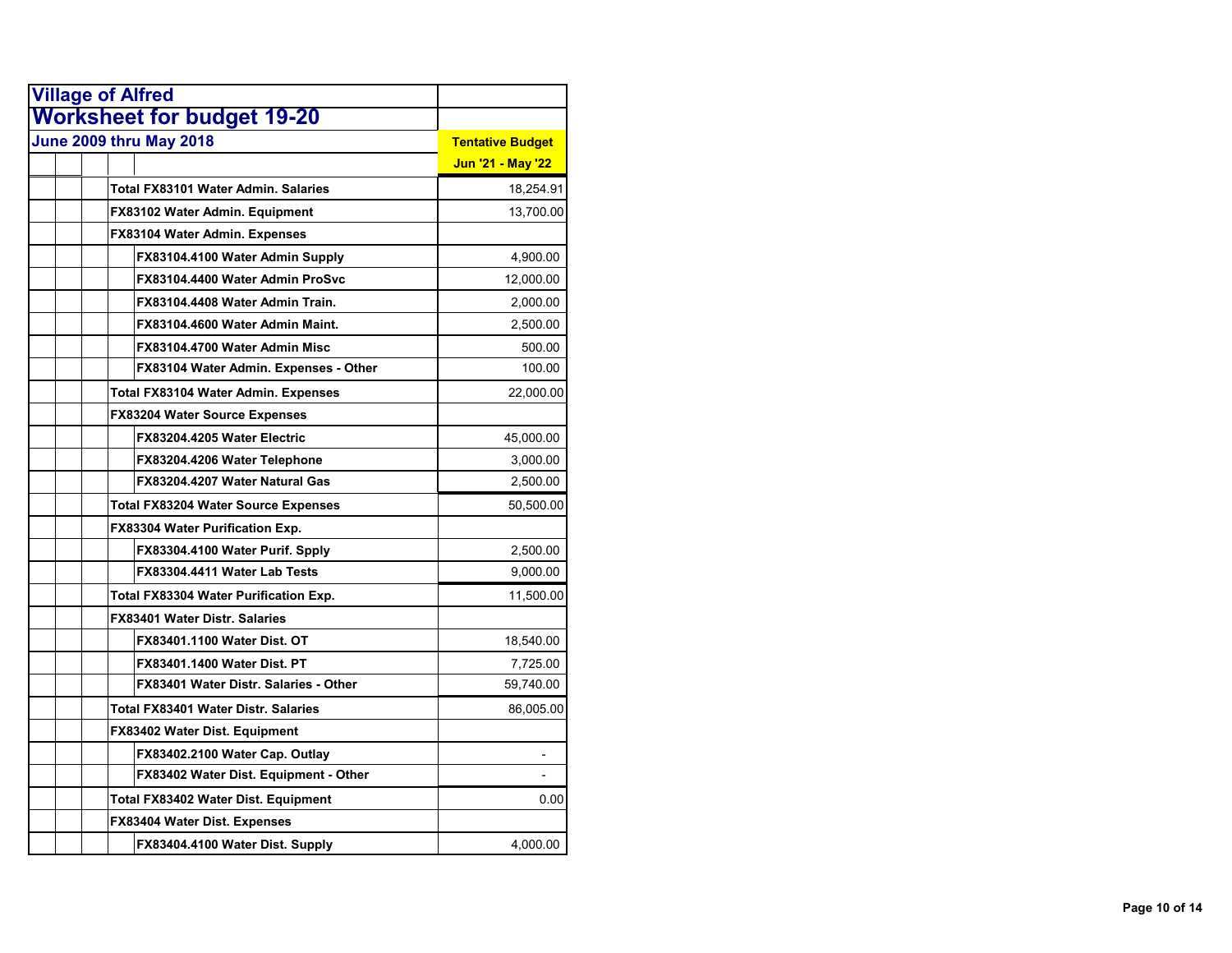| <b>Village of Alfred</b>                   |                         |
|--------------------------------------------|-------------------------|
| <b>Worksheet for budget 19-20</b>          |                         |
| <b>June 2009 thru May 2018</b>             | <b>Tentative Budget</b> |
|                                            | Jun '21 - May '22       |
| Total FX83101 Water Admin, Salaries        | 18,254.91               |
| FX83102 Water Admin. Equipment             | 13,700.00               |
| FX83104 Water Admin. Expenses              |                         |
| FX83104.4100 Water Admin Supply            | 4,900.00                |
| FX83104.4400 Water Admin ProSvc            | 12,000.00               |
| FX83104.4408 Water Admin Train.            | 2,000.00                |
| FX83104.4600 Water Admin Maint.            | 2,500.00                |
| FX83104.4700 Water Admin Misc              | 500.00                  |
| FX83104 Water Admin. Expenses - Other      | 100.00                  |
| <b>Total FX83104 Water Admin. Expenses</b> | 22,000.00               |
| FX83204 Water Source Expenses              |                         |
| FX83204.4205 Water Electric                | 45,000.00               |
| FX83204.4206 Water Telephone               | 3,000.00                |
| FX83204.4207 Water Natural Gas             | 2,500.00                |
| <b>Total FX83204 Water Source Expenses</b> | 50,500.00               |
| <b>FX83304 Water Purification Exp.</b>     |                         |
| FX83304.4100 Water Purif. Spply            | 2,500.00                |
| FX83304.4411 Water Lab Tests               | 9,000.00                |
| Total FX83304 Water Purification Exp.      | 11,500.00               |
| <b>FX83401 Water Distr. Salaries</b>       |                         |
| FX83401.1100 Water Dist. OT                | 18,540.00               |
| FX83401.1400 Water Dist. PT                | 7,725.00                |
| FX83401 Water Distr. Salaries - Other      | 59,740.00               |
| <b>Total FX83401 Water Distr. Salaries</b> | 86,005.00               |
| <b>FX83402 Water Dist. Equipment</b>       |                         |
| FX83402.2100 Water Cap. Outlay             |                         |
| FX83402 Water Dist. Equipment - Other      |                         |
| Total FX83402 Water Dist. Equipment        | 0.00                    |
| FX83404 Water Dist. Expenses               |                         |
| FX83404.4100 Water Dist. Supply            | 4,000.00                |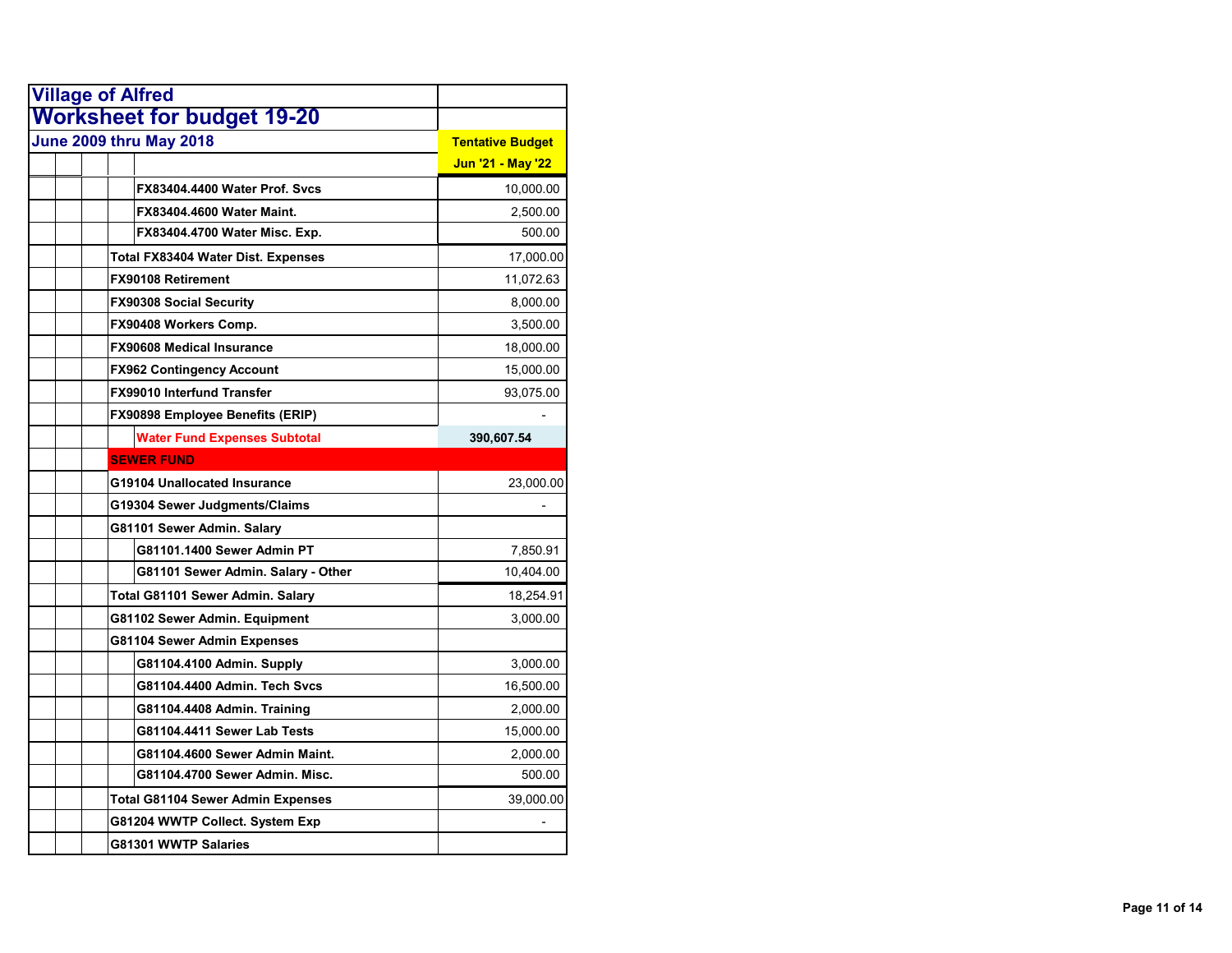| <b>Village of Alfred</b>                 |                         |
|------------------------------------------|-------------------------|
| <b>Worksheet for budget 19-20</b>        |                         |
| <b>June 2009 thru May 2018</b>           | <b>Tentative Budget</b> |
|                                          | Jun '21 - May '22       |
| FX83404.4400 Water Prof. Svcs            | 10,000.00               |
| <b>FX83404.4600 Water Maint.</b>         | 2,500.00                |
| FX83404.4700 Water Misc. Exp.            | 500.00                  |
| Total FX83404 Water Dist. Expenses       | 17,000.00               |
| <b>FX90108 Retirement</b>                | 11,072.63               |
| <b>FX90308 Social Security</b>           | 8,000.00                |
| FX90408 Workers Comp.                    | 3,500.00                |
| <b>FX90608 Medical Insurance</b>         | 18,000.00               |
| <b>FX962 Contingency Account</b>         | 15,000.00               |
| <b>FX99010 Interfund Transfer</b>        | 93,075.00               |
| FX90898 Employee Benefits (ERIP)         |                         |
| <b>Water Fund Expenses Subtotal</b>      | 390,607.54              |
| <b>SEWER FUND</b>                        |                         |
| G19104 Unallocated Insurance             | 23,000.00               |
| G19304 Sewer Judgments/Claims            |                         |
| G81101 Sewer Admin. Salary               |                         |
| G81101.1400 Sewer Admin PT               | 7,850.91                |
| G81101 Sewer Admin. Salary - Other       | 10,404.00               |
| Total G81101 Sewer Admin. Salary         | 18,254.91               |
| G81102 Sewer Admin. Equipment            | 3,000.00                |
| G81104 Sewer Admin Expenses              |                         |
| G81104.4100 Admin. Supply                | 3,000.00                |
| G81104.4400 Admin. Tech Svcs             | 16,500.00               |
| G81104.4408 Admin. Training              | 2,000.00                |
| G81104.4411 Sewer Lab Tests              | 15,000.00               |
| G81104.4600 Sewer Admin Maint.           | 2,000.00                |
| G81104.4700 Sewer Admin. Misc.           | 500.00                  |
| <b>Total G81104 Sewer Admin Expenses</b> | 39,000.00               |
| G81204 WWTP Collect. System Exp          |                         |
| G81301 WWTP Salaries                     |                         |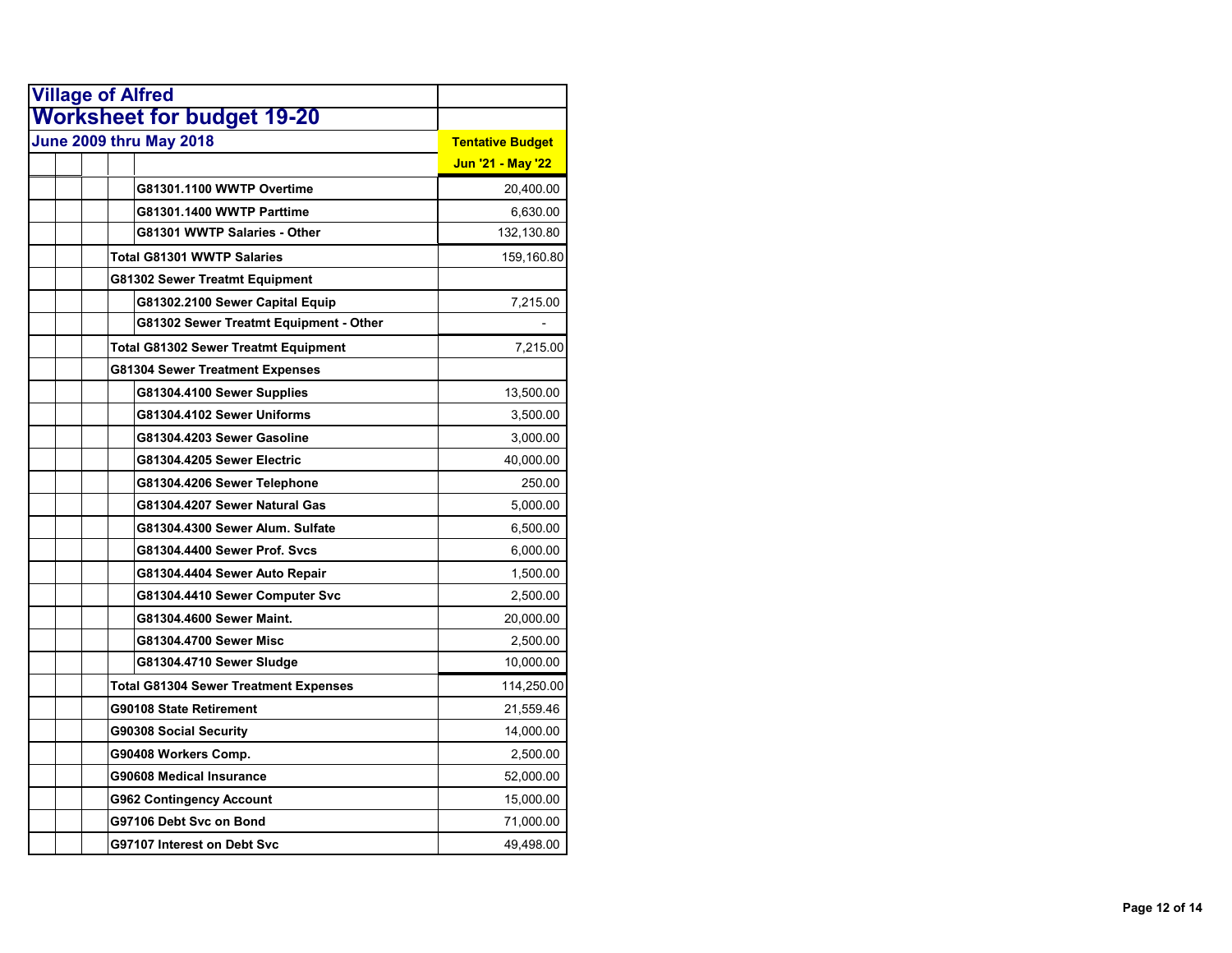| <b>Village of Alfred</b>                     |                         |
|----------------------------------------------|-------------------------|
| <b>Worksheet for budget 19-20</b>            |                         |
| June 2009 thru May 2018                      | <b>Tentative Budget</b> |
|                                              | Jun '21 - May '22       |
| G81301.1100 WWTP Overtime                    | 20,400.00               |
| G81301.1400 WWTP Parttime                    | 6,630.00                |
| G81301 WWTP Salaries - Other                 | 132,130.80              |
| <b>Total G81301 WWTP Salaries</b>            | 159,160.80              |
| G81302 Sewer Treatmt Equipment               |                         |
| G81302.2100 Sewer Capital Equip              | 7,215.00                |
| G81302 Sewer Treatmt Equipment - Other       |                         |
| Total G81302 Sewer Treatmt Equipment         | 7,215.00                |
| G81304 Sewer Treatment Expenses              |                         |
| G81304.4100 Sewer Supplies                   | 13,500.00               |
| G81304.4102 Sewer Uniforms                   | 3,500.00                |
| G81304.4203 Sewer Gasoline                   | 3,000.00                |
| G81304.4205 Sewer Electric                   | 40,000.00               |
| G81304.4206 Sewer Telephone                  | 250.00                  |
| G81304.4207 Sewer Natural Gas                | 5,000.00                |
| G81304.4300 Sewer Alum. Sulfate              | 6,500.00                |
| G81304.4400 Sewer Prof. Sycs                 | 6,000.00                |
| G81304.4404 Sewer Auto Repair                | 1,500.00                |
| G81304.4410 Sewer Computer Svc               | 2,500.00                |
| G81304.4600 Sewer Maint.                     | 20,000.00               |
| G81304.4700 Sewer Misc                       | 2,500.00                |
| G81304.4710 Sewer Sludge                     | 10,000.00               |
| <b>Total G81304 Sewer Treatment Expenses</b> | 114,250.00              |
| G90108 State Retirement                      | 21,559.46               |
| G90308 Social Security                       | 14,000.00               |
| G90408 Workers Comp.                         | 2,500.00                |
| G90608 Medical Insurance                     | 52,000.00               |
| G962 Contingency Account                     | 15,000.00               |
| G97106 Debt Svc on Bond                      | 71,000.00               |
| G97107 Interest on Debt Svc                  | 49,498.00               |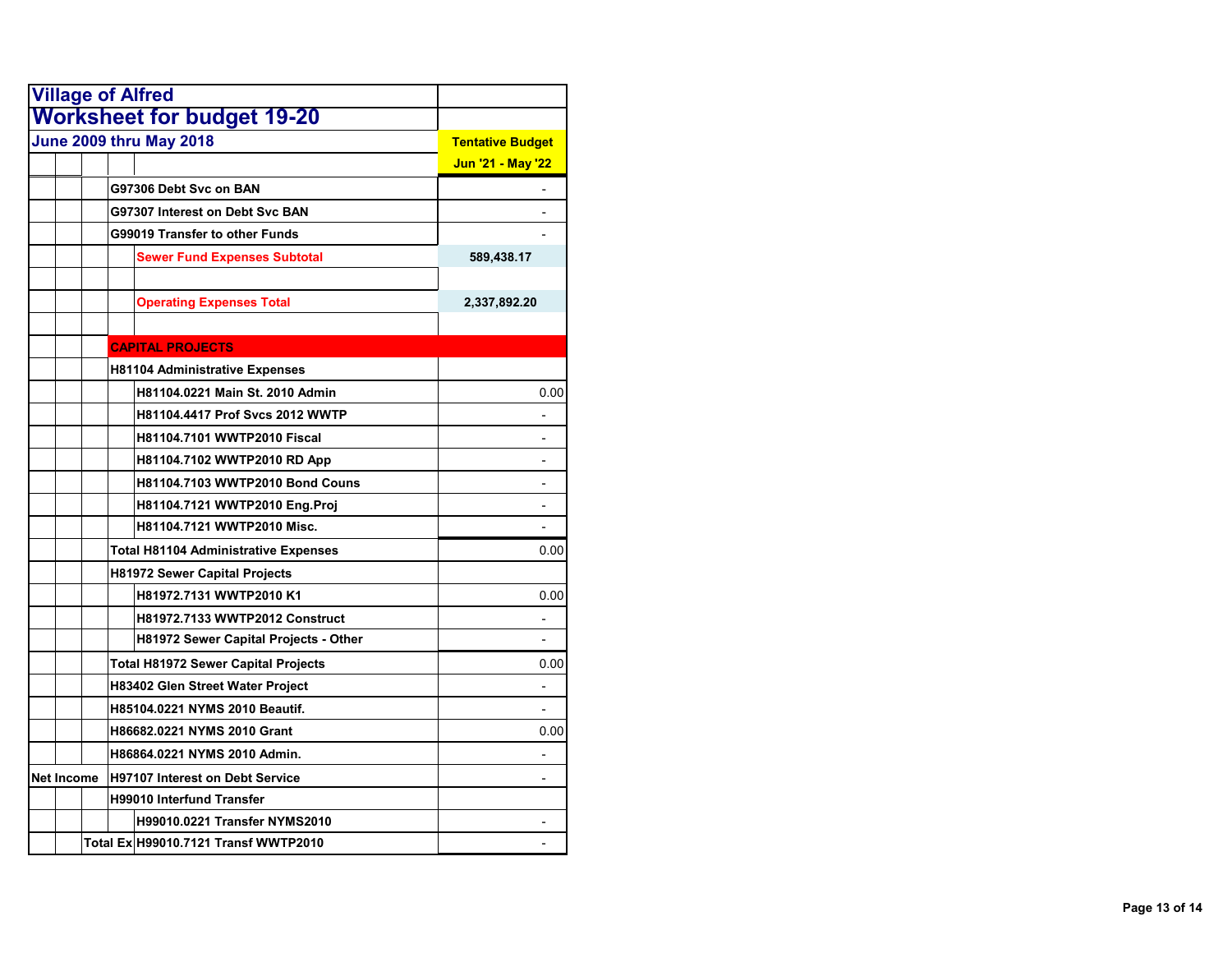| <b>Village of Alfred</b> |                                              |                         |
|--------------------------|----------------------------------------------|-------------------------|
|                          | <b>Worksheet for budget 19-20</b>            |                         |
|                          | June 2009 thru May 2018                      | <b>Tentative Budget</b> |
|                          |                                              | Jun '21 - May '22       |
|                          | G97306 Debt Svc on BAN                       |                         |
|                          | G97307 Interest on Debt Svc BAN              |                         |
|                          | G99019 Transfer to other Funds               |                         |
|                          | <b>Sewer Fund Expenses Subtotal</b>          | 589,438.17              |
|                          | <b>Operating Expenses Total</b>              | 2,337,892.20            |
|                          | <b>CAPITAL PROJECTS</b>                      |                         |
|                          | <b>H81104 Administrative Expenses</b>        |                         |
|                          | H81104.0221 Main St. 2010 Admin              | 0.00                    |
|                          | H81104.4417 Prof Svcs 2012 WWTP              |                         |
|                          | <b>H81104.7101 WWTP2010 Fiscal</b>           |                         |
|                          | H81104.7102 WWTP2010 RD App                  |                         |
|                          | H81104.7103 WWTP2010 Bond Couns              |                         |
|                          | H81104.7121 WWTP2010 Eng.Proj                |                         |
|                          | H81104.7121 WWTP2010 Misc.                   |                         |
|                          | <b>Total H81104 Administrative Expenses</b>  | 0.00                    |
|                          | <b>H81972 Sewer Capital Projects</b>         |                         |
|                          | H81972.7131 WWTP2010 K1                      | 0.00                    |
|                          | <b>H81972.7133 WWTP2012 Construct</b>        |                         |
|                          | <b>H81972 Sewer Capital Projects - Other</b> |                         |
|                          | <b>Total H81972 Sewer Capital Projects</b>   | 0.00                    |
|                          | H83402 Glen Street Water Project             |                         |
|                          | H85104.0221 NYMS 2010 Beautif.               |                         |
|                          | H86682.0221 NYMS 2010 Grant                  | 0.00                    |
|                          | H86864.0221 NYMS 2010 Admin.                 |                         |
| Net Income               | <b>H97107 Interest on Debt Service</b>       | $\blacksquare$          |
|                          | <b>H99010 Interfund Transfer</b>             |                         |
|                          | <b>H99010.0221 Transfer NYMS2010</b>         |                         |
|                          | Total Ex H99010.7121 Transf WWTP2010         |                         |